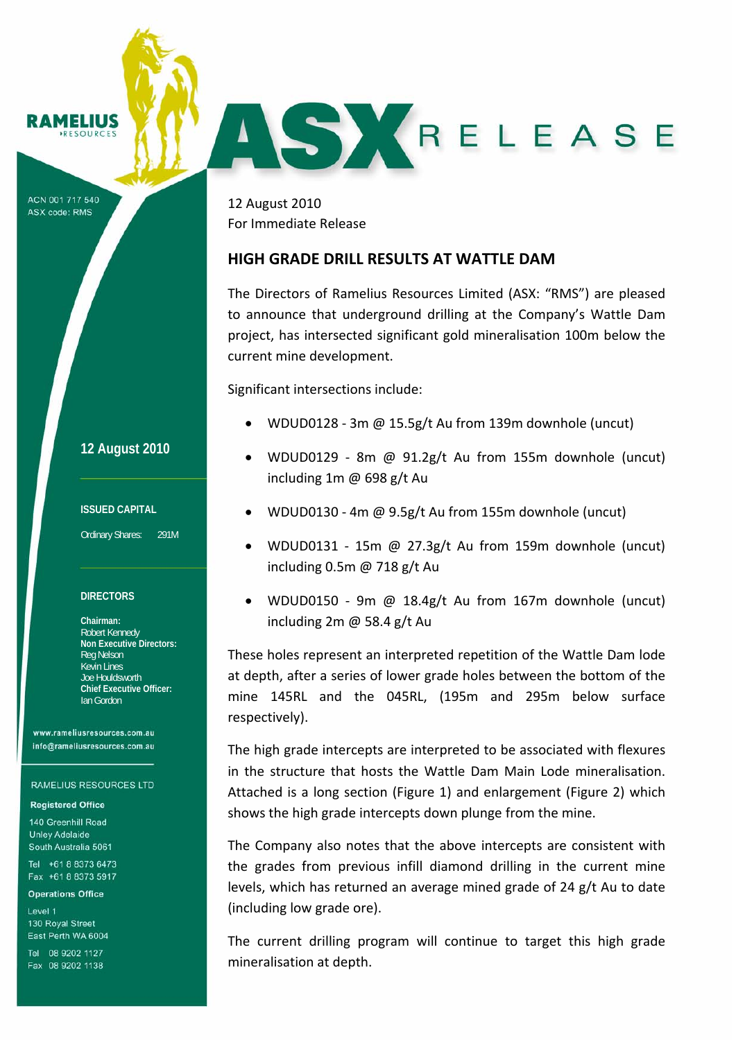# **RAMELIUS**

ACN 001 717 540 ASX code: RMS

12 August 2010 For Immediate Release

## **HIGH GRADE DRILL RESULTS AT WATTLE DAM**

The Directors of Ramelius Resources Limited (ASX: "RMS") are pleased to announce that underground drilling at the Company's Wattle Dam project, has intersected significant gold mineralisation 100m below the current mine development.

AS KRELEASE

Significant intersections include:

- WDUD0128 ‐ 3m @ 15.5g/t Au from 139m downhole (uncut)
- WDUD0129 8m @  $91.2g/t$  Au from 155m downhole (uncut) including 1m @ 698 g/t Au
- WDUD0130 ‐ 4m @ 9.5g/t Au from 155m downhole (uncut)
- WDUD0131 15m @ 27.3g/t Au from 159m downhole (uncut) including 0.5m @ 718 g/t Au
- WDUD0150 ‐ 9m @ 18.4g/t Au from 167m downhole (uncut) including 2m @ 58.4 g/t Au

These holes represent an interpreted repetition of the Wattle Dam lode at depth, after a series of lower grade holes between the bottom of the mine 145RL and the 045RL, (195m and 295m below surface respectively).

The high grade intercepts are interpreted to be associated with flexures in the structure that hosts the Wattle Dam Main Lode mineralisation. Attached is a long section (Figure 1) and enlargement (Figure 2) which shows the high grade intercepts down plunge from the mine.

The Company also notes that the above intercepts are consistent with the grades from previous infill diamond drilling in the current mine levels, which has returned an average mined grade of 24 g/t Au to date (including low grade ore).

The current drilling program will continue to target this high grade mineralisation at depth.

### **12 August 2010**

#### **ISSUED CAPITAL**

Ordinary Shares: 291M

#### **DIRECTORS**

**Chairman:**  Robert Kennedy **Non Executive Directors:**  Reg Nelson Kevin Lines Joe Houldsworth **Chief Executive Officer:**  Ian Gordon

www.rameliusresources.com.au info@rameliusresources.com.au

#### **RAMELIUS RESOURCES LTD**

#### **Registered Office**

140 Greenhill Road **Unley Adelaide** South Australia 5061

Tel +61 8 8373 6473 Fax +61 8 8373 5917

### **Operations Office**

Level 1 130 Royal Street East Perth WA 6004

Tel 08 9202 1127 Fax 08 9202 1138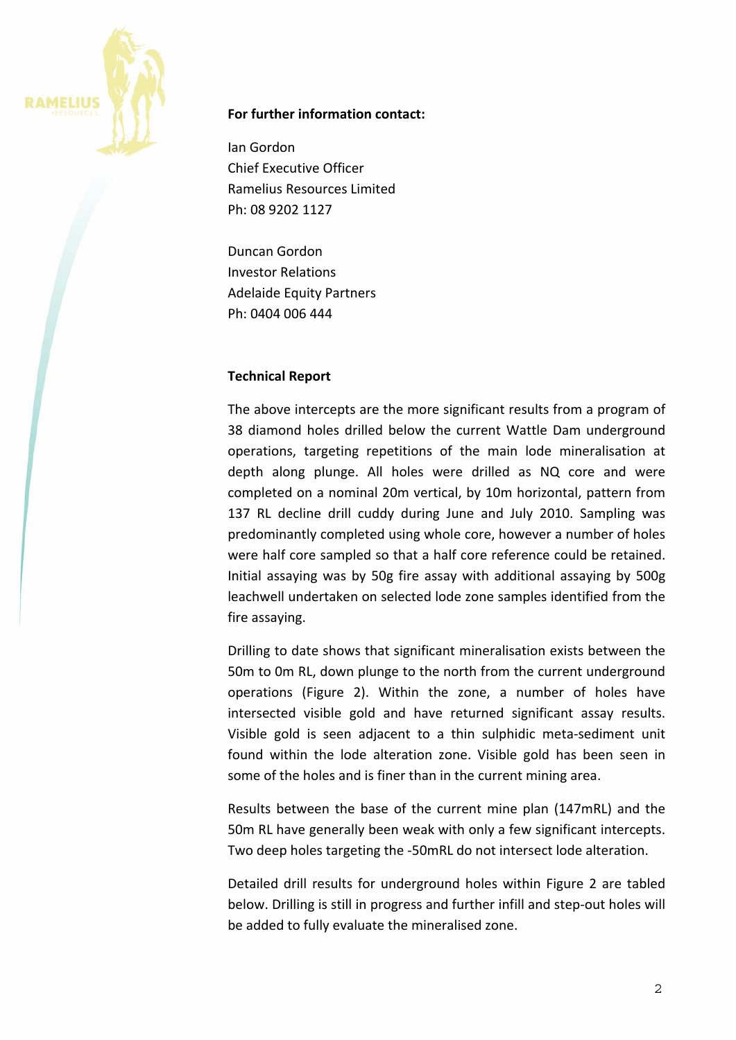

# **For further information contact:**

Ian Gordon Chief Executive Officer Ramelius Resources Limited Ph: 08 9202 1127

Duncan Gordon Investor Relations Adelaide Equity Partners Ph: 0404 006 444

# **Technical Report**

The above intercepts are the more significant results from a program of 38 diamond holes drilled below the current Wattle Dam underground operations, targeting repetitions of the main lode mineralisation at depth along plunge. All holes were drilled as NQ core and were completed on a nominal 20m vertical, by 10m horizontal, pattern from 137 RL decline drill cuddy during June and July 2010. Sampling was predominantly completed using whole core, however a number of holes were half core sampled so that a half core reference could be retained. Initial assaying was by 50g fire assay with additional assaying by 500g leachwell undertaken on selected lode zone samples identified from the fire assaying.

Drilling to date shows that significant mineralisation exists between the 50m to 0m RL, down plunge to the north from the current underground operations (Figure 2). Within the zone, a number of holes have intersected visible gold and have returned significant assay results. Visible gold is seen adjacent to a thin sulphidic meta‐sediment unit found within the lode alteration zone. Visible gold has been seen in some of the holes and is finer than in the current mining area.

Results between the base of the current mine plan (147mRL) and the 50m RL have generally been weak with only a few significant intercepts. Two deep holes targeting the ‐50mRL do not intersect lode alteration.

Detailed drill results for underground holes within Figure 2 are tabled below. Drilling is still in progress and further infill and step‐out holes will be added to fully evaluate the mineralised zone.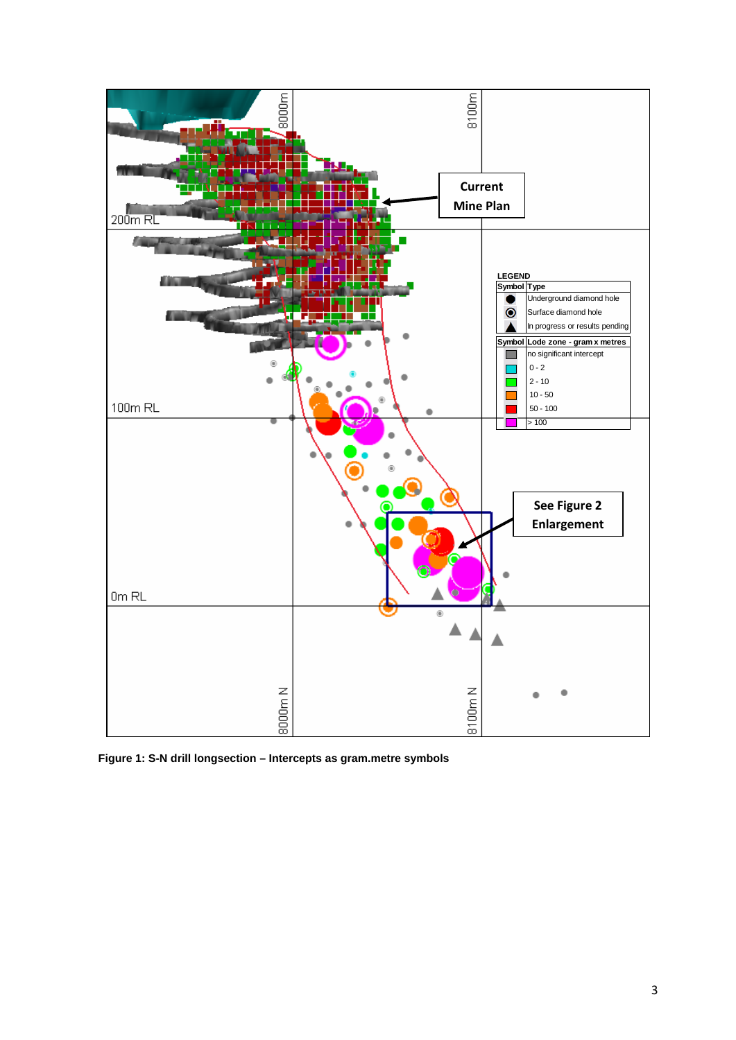

 **Figure 1: S-N drill longsection – Intercepts as gram.metre symbols**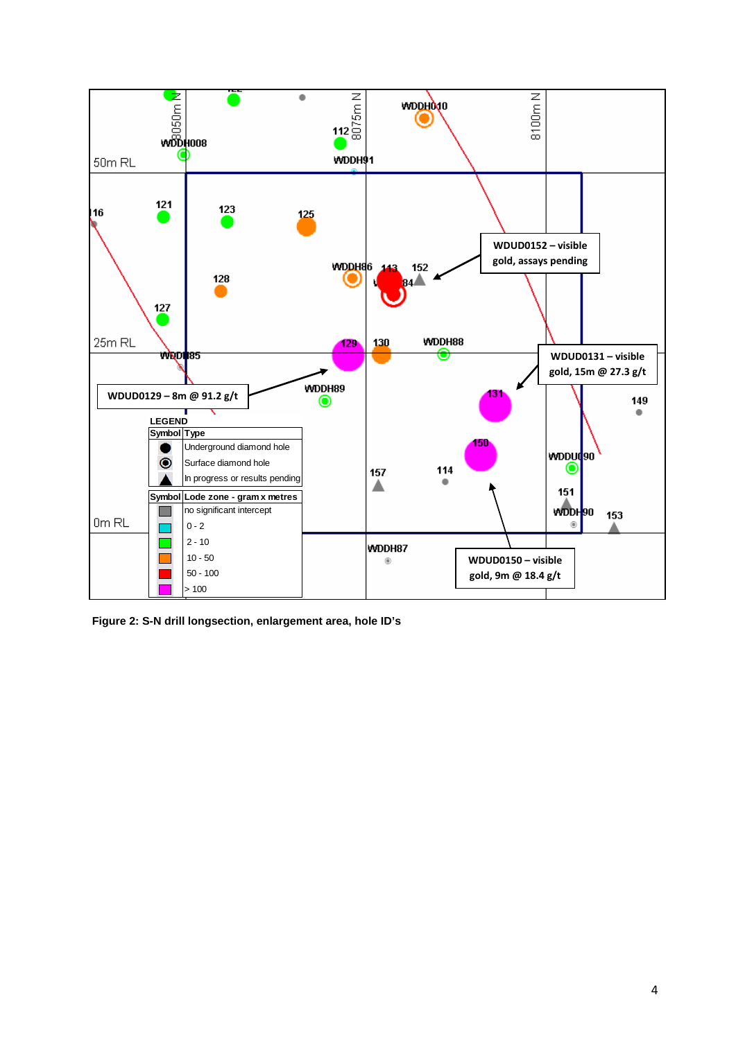

 **Figure 2: S-N drill longsection, enlargement area, hole ID's**